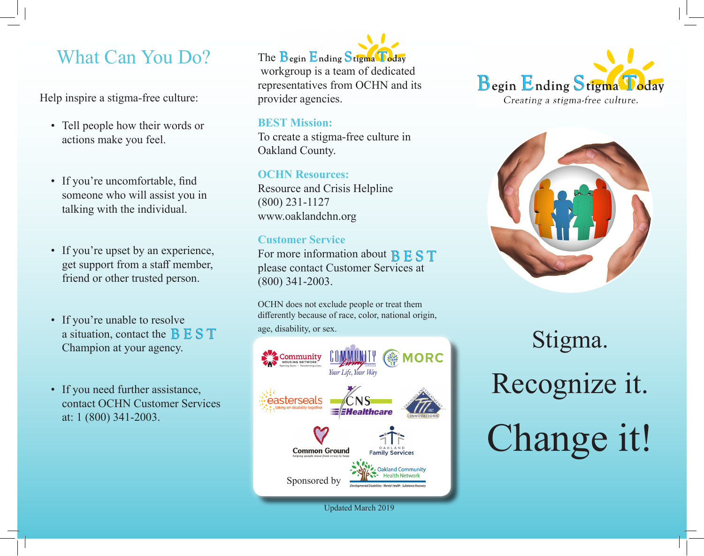## What Can You Do?

Help inspire a stigma-free culture:

- Tell people how their words or actions make you feel.
- If you're uncomfortable, find someone who will assist you in talking with the individual.
- If you're upset by an experience, get support from a staff member, friend or other trusted person.
- If you're unable to resolve a situation, contact the  $B \to S T$ Champion at your agency.
- If you need further assistance, contact OCHN Customer Services at: 1 (800) 341-2003.



 workgroup is a team of dedicated representatives from OCHN and its provider agencies.

#### **BEST Mission:**

To create a stigma-free culture in Oakland County.

**OCHN Resources:**  Resource and Crisis Helpline (800) 231-1127 www.oaklandchn.org

#### **Customer Service**

For more information about B E S T please contact Customer Services at (800) 341-2003.

OCHN does not exclude people or treat them differently because of race, color, national origin, age, disability, or sex.



Updated March 2019





# Stigma. Recognize it. Change it!